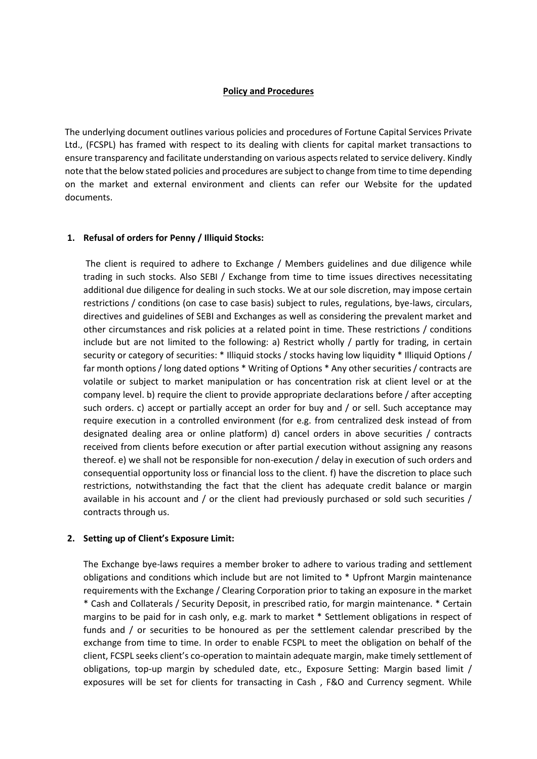## **Policy and Procedures**

The underlying document outlines various policies and procedures of Fortune Capital Services Private Ltd., (FCSPL) has framed with respect to its dealing with clients for capital market transactions to ensure transparency and facilitate understanding on various aspects related to service delivery. Kindly note that the below stated policies and procedures are subject to change from time to time depending on the market and external environment and clients can refer our Website for the updated documents.

# **1. Refusal of orders for Penny / Illiquid Stocks:**

The client is required to adhere to Exchange / Members guidelines and due diligence while trading in such stocks. Also SEBI / Exchange from time to time issues directives necessitating additional due diligence for dealing in such stocks. We at our sole discretion, may impose certain restrictions / conditions (on case to case basis) subject to rules, regulations, bye-laws, circulars, directives and guidelines of SEBI and Exchanges as well as considering the prevalent market and other circumstances and risk policies at a related point in time. These restrictions / conditions include but are not limited to the following: a) Restrict wholly / partly for trading, in certain security or category of securities: \* Illiquid stocks / stocks having low liquidity \* Illiquid Options / far month options / long dated options \* Writing of Options \* Any other securities / contracts are volatile or subject to market manipulation or has concentration risk at client level or at the company level. b) require the client to provide appropriate declarations before / after accepting such orders. c) accept or partially accept an order for buy and / or sell. Such acceptance may require execution in a controlled environment (for e.g. from centralized desk instead of from designated dealing area or online platform) d) cancel orders in above securities / contracts received from clients before execution or after partial execution without assigning any reasons thereof. e) we shall not be responsible for non-execution / delay in execution of such orders and consequential opportunity loss or financial loss to the client. f) have the discretion to place such restrictions, notwithstanding the fact that the client has adequate credit balance or margin available in his account and / or the client had previously purchased or sold such securities / contracts through us.

## **2. Setting up of Client's Exposure Limit:**

The Exchange bye-laws requires a member broker to adhere to various trading and settlement obligations and conditions which include but are not limited to \* Upfront Margin maintenance requirements with the Exchange / Clearing Corporation prior to taking an exposure in the market \* Cash and Collaterals / Security Deposit, in prescribed ratio, for margin maintenance. \* Certain margins to be paid for in cash only, e.g. mark to market \* Settlement obligations in respect of funds and / or securities to be honoured as per the settlement calendar prescribed by the exchange from time to time. In order to enable FCSPL to meet the obligation on behalf of the client, FCSPL seeks client's co-operation to maintain adequate margin, make timely settlement of obligations, top-up margin by scheduled date, etc., Exposure Setting: Margin based limit / exposures will be set for clients for transacting in Cash , F&O and Currency segment. While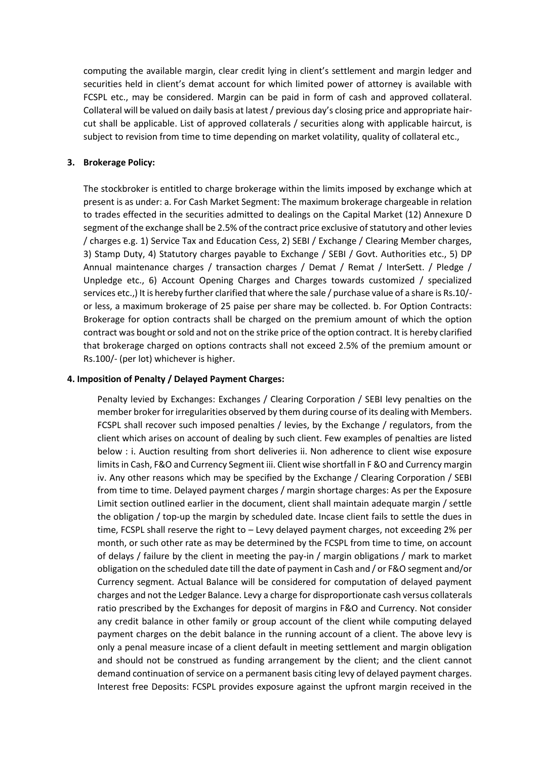computing the available margin, clear credit lying in client's settlement and margin ledger and securities held in client's demat account for which limited power of attorney is available with FCSPL etc., may be considered. Margin can be paid in form of cash and approved collateral. Collateral will be valued on daily basis at latest / previous day's closing price and appropriate haircut shall be applicable. List of approved collaterals / securities along with applicable haircut, is subject to revision from time to time depending on market volatility, quality of collateral etc.,

## **3. Brokerage Policy:**

The stockbroker is entitled to charge brokerage within the limits imposed by exchange which at present is as under: a. For Cash Market Segment: The maximum brokerage chargeable in relation to trades effected in the securities admitted to dealings on the Capital Market (12) Annexure D segment of the exchange shall be 2.5% of the contract price exclusive of statutory and other levies / charges e.g. 1) Service Tax and Education Cess, 2) SEBI / Exchange / Clearing Member charges, 3) Stamp Duty, 4) Statutory charges payable to Exchange / SEBI / Govt. Authorities etc., 5) DP Annual maintenance charges / transaction charges / Demat / Remat / InterSett. / Pledge / Unpledge etc., 6) Account Opening Charges and Charges towards customized / specialized services etc.,) It is hereby further clarified that where the sale / purchase value of a share is Rs.10/ or less, a maximum brokerage of 25 paise per share may be collected. b. For Option Contracts: Brokerage for option contracts shall be charged on the premium amount of which the option contract was bought or sold and not on the strike price of the option contract. It is hereby clarified that brokerage charged on options contracts shall not exceed 2.5% of the premium amount or Rs.100/- (per lot) whichever is higher.

#### **4. Imposition of Penalty / Delayed Payment Charges:**

Penalty levied by Exchanges: Exchanges / Clearing Corporation / SEBI levy penalties on the member broker for irregularities observed by them during course of its dealing with Members. FCSPL shall recover such imposed penalties / levies, by the Exchange / regulators, from the client which arises on account of dealing by such client. Few examples of penalties are listed below : i. Auction resulting from short deliveries ii. Non adherence to client wise exposure limits in Cash, F&O and Currency Segment iii. Client wise shortfall in F &O and Currency margin iv. Any other reasons which may be specified by the Exchange / Clearing Corporation / SEBI from time to time. Delayed payment charges / margin shortage charges: As per the Exposure Limit section outlined earlier in the document, client shall maintain adequate margin / settle the obligation / top-up the margin by scheduled date. Incase client fails to settle the dues in time, FCSPL shall reserve the right to – Levy delayed payment charges, not exceeding 2% per month, or such other rate as may be determined by the FCSPL from time to time, on account of delays / failure by the client in meeting the pay-in / margin obligations / mark to market obligation on the scheduled date till the date of payment in Cash and / or F&O segment and/or Currency segment. Actual Balance will be considered for computation of delayed payment charges and not the Ledger Balance. Levy a charge for disproportionate cash versus collaterals ratio prescribed by the Exchanges for deposit of margins in F&O and Currency. Not consider any credit balance in other family or group account of the client while computing delayed payment charges on the debit balance in the running account of a client. The above levy is only a penal measure incase of a client default in meeting settlement and margin obligation and should not be construed as funding arrangement by the client; and the client cannot demand continuation of service on a permanent basis citing levy of delayed payment charges. Interest free Deposits: FCSPL provides exposure against the upfront margin received in the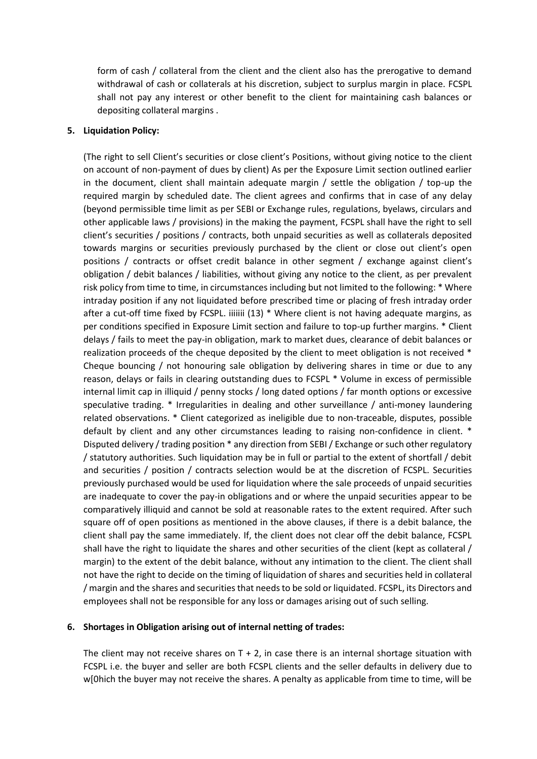form of cash / collateral from the client and the client also has the prerogative to demand withdrawal of cash or collaterals at his discretion, subject to surplus margin in place. FCSPL shall not pay any interest or other benefit to the client for maintaining cash balances or depositing collateral margins .

#### **5. Liquidation Policy:**

(The right to sell Client's securities or close client's Positions, without giving notice to the client on account of non-payment of dues by client) As per the Exposure Limit section outlined earlier in the document, client shall maintain adequate margin / settle the obligation / top-up the required margin by scheduled date. The client agrees and confirms that in case of any delay (beyond permissible time limit as per SEBI or Exchange rules, regulations, byelaws, circulars and other applicable laws / provisions) in the making the payment, FCSPL shall have the right to sell client's securities / positions / contracts, both unpaid securities as well as collaterals deposited towards margins or securities previously purchased by the client or close out client's open positions / contracts or offset credit balance in other segment / exchange against client's obligation / debit balances / liabilities, without giving any notice to the client, as per prevalent risk policy from time to time, in circumstances including but not limited to the following: \* Where intraday position if any not liquidated before prescribed time or placing of fresh intraday order after a cut-off time fixed by FCSPL. iiiiiii (13) \* Where client is not having adequate margins, as per conditions specified in Exposure Limit section and failure to top-up further margins. \* Client delays / fails to meet the pay-in obligation, mark to market dues, clearance of debit balances or realization proceeds of the cheque deposited by the client to meet obligation is not received \* Cheque bouncing / not honouring sale obligation by delivering shares in time or due to any reason, delays or fails in clearing outstanding dues to FCSPL \* Volume in excess of permissible internal limit cap in illiquid / penny stocks / long dated options / far month options or excessive speculative trading. \* Irregularities in dealing and other surveillance / anti-money laundering related observations. \* Client categorized as ineligible due to non-traceable, disputes, possible default by client and any other circumstances leading to raising non-confidence in client. \* Disputed delivery / trading position \* any direction from SEBI / Exchange or such other regulatory / statutory authorities. Such liquidation may be in full or partial to the extent of shortfall / debit and securities / position / contracts selection would be at the discretion of FCSPL. Securities previously purchased would be used for liquidation where the sale proceeds of unpaid securities are inadequate to cover the pay-in obligations and or where the unpaid securities appear to be comparatively illiquid and cannot be sold at reasonable rates to the extent required. After such square off of open positions as mentioned in the above clauses, if there is a debit balance, the client shall pay the same immediately. If, the client does not clear off the debit balance, FCSPL shall have the right to liquidate the shares and other securities of the client (kept as collateral / margin) to the extent of the debit balance, without any intimation to the client. The client shall not have the right to decide on the timing of liquidation of shares and securities held in collateral / margin and the shares and securities that needs to be sold or liquidated. FCSPL, its Directors and employees shall not be responsible for any loss or damages arising out of such selling.

## **6. Shortages in Obligation arising out of internal netting of trades:**

The client may not receive shares on  $T + 2$ , in case there is an internal shortage situation with FCSPL i.e. the buyer and seller are both FCSPL clients and the seller defaults in delivery due to w[0hich the buyer may not receive the shares. A penalty as applicable from time to time, will be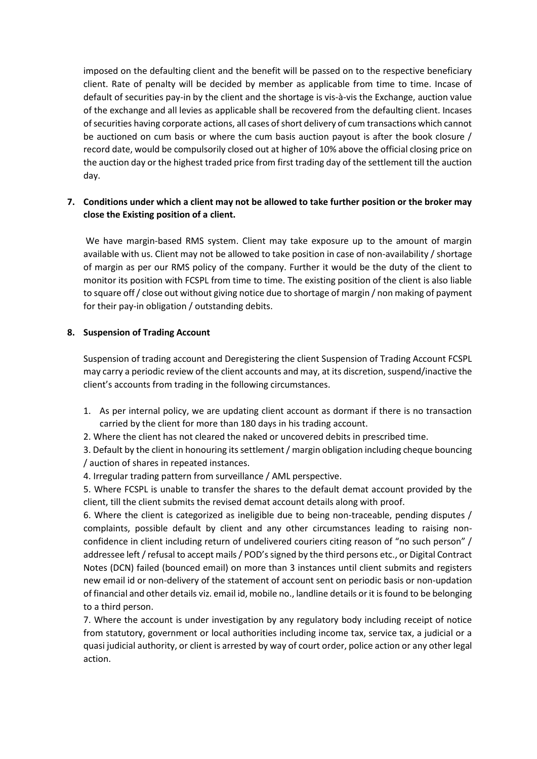imposed on the defaulting client and the benefit will be passed on to the respective beneficiary client. Rate of penalty will be decided by member as applicable from time to time. Incase of default of securities pay-in by the client and the shortage is vis-à-vis the Exchange, auction value of the exchange and all levies as applicable shall be recovered from the defaulting client. Incases of securities having corporate actions, all cases of short delivery of cum transactions which cannot be auctioned on cum basis or where the cum basis auction payout is after the book closure / record date, would be compulsorily closed out at higher of 10% above the official closing price on the auction day or the highest traded price from first trading day of the settlement till the auction day.

# **7. Conditions under which a client may not be allowed to take further position or the broker may close the Existing position of a client.**

We have margin-based RMS system. Client may take exposure up to the amount of margin available with us. Client may not be allowed to take position in case of non-availability / shortage of margin as per our RMS policy of the company. Further it would be the duty of the client to monitor its position with FCSPL from time to time. The existing position of the client is also liable to square off / close out without giving notice due to shortage of margin / non making of payment for their pay-in obligation / outstanding debits.

# **8. Suspension of Trading Account**

Suspension of trading account and Deregistering the client Suspension of Trading Account FCSPL may carry a periodic review of the client accounts and may, at its discretion, suspend/inactive the client's accounts from trading in the following circumstances.

- 1. As per internal policy, we are updating client account as dormant if there is no transaction carried by the client for more than 180 days in his trading account.
- 2. Where the client has not cleared the naked or uncovered debits in prescribed time.

3. Default by the client in honouring its settlement / margin obligation including cheque bouncing / auction of shares in repeated instances.

4. Irregular trading pattern from surveillance / AML perspective.

5. Where FCSPL is unable to transfer the shares to the default demat account provided by the client, till the client submits the revised demat account details along with proof.

6. Where the client is categorized as ineligible due to being non-traceable, pending disputes / complaints, possible default by client and any other circumstances leading to raising nonconfidence in client including return of undelivered couriers citing reason of "no such person" / addressee left / refusal to accept mails / POD's signed by the third persons etc., or Digital Contract Notes (DCN) failed (bounced email) on more than 3 instances until client submits and registers new email id or non-delivery of the statement of account sent on periodic basis or non-updation of financial and other details viz. email id, mobile no., landline details or it isfound to be belonging to a third person.

7. Where the account is under investigation by any regulatory body including receipt of notice from statutory, government or local authorities including income tax, service tax, a judicial or a quasi judicial authority, or client is arrested by way of court order, police action or any other legal action.